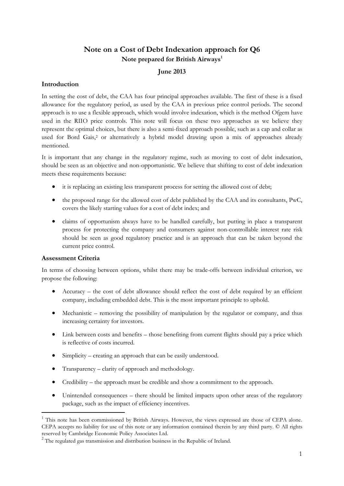# **Note on a Cost of Debt Indexation approach for Q6 Note prepared for British Airways<sup>1</sup>**

### **June 2013**

### **Introduction**

In setting the cost of debt, the CAA has four principal approaches available. The first of these is a fixed allowance for the regulatory period, as used by the CAA in previous price control periods. The second approach is to use a flexible approach, which would involve indexation, which is the method Ofgem have used in the RIIO price controls. This note will focus on these two approaches as we believe they represent the optimal choices, but there is also a semi-fixed approach possible, such as a cap and collar as used for Bord Gais,<sup>2</sup> or alternatively a hybrid model drawing upon a mix of approaches already mentioned.

It is important that any change in the regulatory regime, such as moving to cost of debt indexation, should be seen as an objective and non-opportunistic. We believe that shifting to cost of debt indexation meets these requirements because:

- it is replacing an existing less transparent process for setting the allowed cost of debt;
- the proposed range for the allowed cost of debt published by the CAA and its consultants, PwC, covers the likely starting values for a cost of debt index; and
- claims of opportunism always have to be handled carefully, but putting in place a transparent process for protecting the company and consumers against non-controllable interest rate risk should be seen as good regulatory practice and is an approach that can be taken beyond the current price control.

### **Assessment Criteria**

-

In terms of choosing between options, whilst there may be trade-offs between individual criterion, we propose the following:

- Accuracy the cost of debt allowance should reflect the cost of debt required by an efficient company, including embedded debt. This is the most important principle to uphold.
- Mechanistic removing the possibility of manipulation by the regulator or company, and thus increasing certainty for investors.
- Link between costs and benefits those benefiting from current flights should pay a price which is reflective of costs incurred.
- Simplicity creating an approach that can be easily understood.
- Transparency clarity of approach and methodology.
- Credibility the approach must be credible and show a commitment to the approach.
- Unintended consequences there should be limited impacts upon other areas of the regulatory package, such as the impact of efficiency incentives.

<sup>1</sup> This note has been commissioned by British Airways. However, the views expressed are those of CEPA alone. CEPA accepts no liability for use of this note or any information contained therein by any third party. © All rights reserved by Cambridge Economic Policy Associates Ltd.

<sup>&</sup>lt;sup>2</sup> The regulated gas transmission and distribution business in the Republic of Ireland.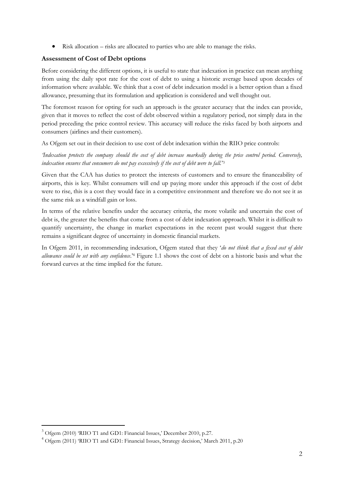Risk allocation – risks are allocated to parties who are able to manage the risks.

### **Assessment of Cost of Debt options**

Before considering the different options, it is useful to state that indexation in practice can mean anything from using the daily spot rate for the cost of debt to using a historic average based upon decades of information where available. We think that a cost of debt indexation model is a better option than a fixed allowance, presuming that its formulation and application is considered and well thought out.

The foremost reason for opting for such an approach is the greater accuracy that the index can provide, given that it moves to reflect the cost of debt observed within a regulatory period, not simply data in the period preceding the price control review. This accuracy will reduce the risks faced by both airports and consumers (airlines and their customers).

As Ofgem set out in their decision to use cost of debt indexation within the RIIO price controls:

*'Indexation protects the company should the cost of debt increase markedly during the price control period. Conversely, indexation ensures that consumers do not pay excessively if the cost of debt were to fall.*' 3

Given that the CAA has duties to protect the interests of customers and to ensure the financeability of airports, this is key. Whilst consumers will end up paying more under this approach if the cost of debt were to rise, this is a cost they would face in a competitive environment and therefore we do not see it as the same risk as a windfall gain or loss.

In terms of the relative benefits under the accuracy criteria, the more volatile and uncertain the cost of debt is, the greater the benefits that come from a cost of debt indexation approach. Whilst it is difficult to quantify uncertainty, the change in market expectations in the recent past would suggest that there remains a significant degree of uncertainty in domestic financial markets.

In Ofgem 2011, in recommending indexation, Ofgem stated that they '*do not think that a fixed cost of debt allowance could be set with any confidence*.'<sup>4</sup> Figure 1.1 shows the cost of debt on a historic basis and what the forward curves at the time implied for the future.

<sup>&</sup>lt;sup>3</sup> Ofgem (2010) 'RIIO T1 and GD1: Financial Issues,' December 2010, p.27.

<sup>4</sup> Ofgem (2011) 'RIIO T1 and GD1: Financial Issues, Strategy decision,' March 2011, p.20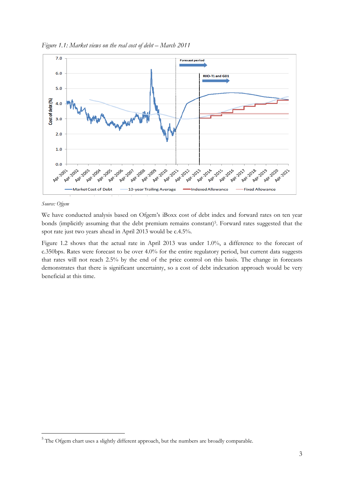

*Figure* 1.1: Market views on the real cost of debt – March 2011

#### *Source: Ofgem*

-

We have conducted analysis based on Ofgem's iBoxx cost of debt index and forward rates on ten year bonds (implicitly assuming that the debt premium remains constant)<sup>5</sup>. Forward rates suggested that the spot rate just two years ahead in April 2013 would be c.4.5%.

Figure 1.2 shows that the actual rate in April 2013 was under 1.0%, a difference to the forecast of c.350bps. Rates were forecast to be over 4.0% for the entire regulatory period, but current data suggests that rates will not reach 2.5% by the end of the price control on this basis. The change in forecasts demonstrates that there is significant uncertainty, so a cost of debt indexation approach would be very beneficial at this time.

<sup>&</sup>lt;sup>5</sup> The Ofgem chart uses a slightly different approach, but the numbers are broadly comparable.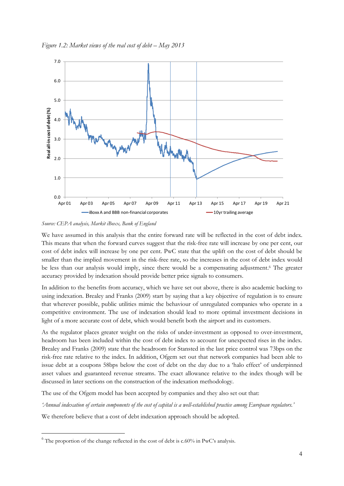



*Source: CEPA analysis, Markit iBoxx, Bank of England*

We have assumed in this analysis that the entire forward rate will be reflected in the cost of debt index. This means that when the forward curves suggest that the risk-free rate will increase by one per cent, our cost of debt index will increase by one per cent. PwC state that the uplift on the cost of debt should be smaller than the implied movement in the risk-free rate, so the increases in the cost of debt index would be less than our analysis would imply, since there would be a compensating adjustment. <sup>6</sup> The greater accuracy provided by indexation should provide better price signals to consumers.

In addition to the benefits from accuracy, which we have set out above, there is also academic backing to using indexation. Brealey and Franks (2009) start by saying that a key objective of regulation is to ensure that wherever possible, public utilities mimic the behaviour of unregulated companies who operate in a competitive environment. The use of indexation should lead to more optimal investment decisions in light of a more accurate cost of debt, which would benefit both the airport and its customers.

As the regulator places greater weight on the risks of under-investment as opposed to over-investment, headroom has been included within the cost of debt index to account for unexpected rises in the index. Brealey and Franks (2009) state that the headroom for Stansted in the last price control was 73bps on the risk-free rate relative to the index. In addition, Ofgem set out that network companies had been able to issue debt at a coupons 58bps below the cost of debt on the day due to a 'halo effect' of underpinned asset values and guaranteed revenue streams. The exact allowance relative to the index though will be discussed in later sections on the construction of the indexation methodology.

The use of the Ofgem model has been accepted by companies and they also set out that:

*'Annual indexation of certain components of the cost of capital is a well-established practice among European regulators.'*

We therefore believe that a cost of debt indexation approach should be adopted.

 $6$  The proportion of the change reflected in the cost of debt is c.60% in PwC's analysis.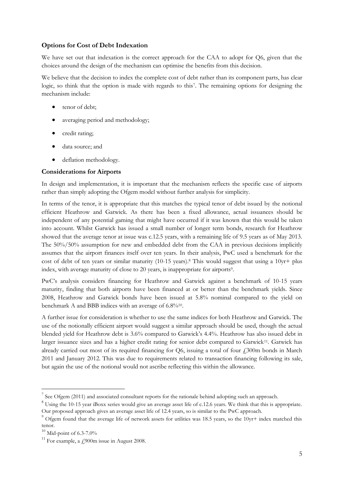#### **Options for Cost of Debt Indexation**

We have set out that indexation is the correct approach for the CAA to adopt for Q6, given that the choices around the design of the mechanism can optimise the benefits from this decision.

We believe that the decision to index the complete cost of debt rather than its component parts, has clear logic, so think that the option is made with regards to this<sup>7</sup>. The remaining options for designing the mechanism include:

- tenor of debt:
- averaging period and methodology;
- credit rating;
- data source; and
- deflation methodology.

#### **Considerations for Airports**

In design and implementation, it is important that the mechanism reflects the specific case of airports rather than simply adopting the Ofgem model without further analysis for simplicity.

In terms of the tenor, it is appropriate that this matches the typical tenor of debt issued by the notional efficient Heathrow and Gatwick. As there has been a fixed allowance, actual issuances should be independent of any potential gaming that might have occurred if it was known that this would be taken into account. Whilst Gatwick has issued a small number of longer term bonds, research for Heathrow showed that the average tenor at issue was c.12.5 years, with a remaining life of 9.5 years as of May 2013. The 50%/50% assumption for new and embedded debt from the CAA in previous decisions implicitly assumes that the airport finances itself over ten years. In their analysis, PwC used a benchmark for the cost of debt of ten years or similar maturity (10-15 years).<sup>8</sup> This would suggest that using a 10yr+ plus index, with average maturity of close to 20 years, is inappropriate for airports<sup>9</sup>.

PwC's analysis considers financing for Heathrow and Gatwick against a benchmark of 10-15 years maturity, finding that both airports have been financed at or better than the benchmark yields. Since 2008, Heathrow and Gatwick bonds have been issued at 5.8% nominal compared to the yield on benchmark A and BBB indices with an average of 6.8%<sup>10</sup>.

A further issue for consideration is whether to use the same indices for both Heathrow and Gatwick. The use of the notionally efficient airport would suggest a similar approach should be used, though the actual blended yield for Heathrow debt is 3.6% compared to Gatwick's 4.4%. Heathrow has also issued debt in larger issuance sizes and has a higher credit rating for senior debt compared to Gatwick<sup>11</sup>. Gatwick has already carried out most of its required financing for Q6, issuing a total of four  $\ddot{1}300$ m bonds in March 2011 and January 2012. This was due to requirements related to transaction financing following its sale, but again the use of the notional would not ascribe reflecting this within the allowance.

<u>.</u>

 $7$  See Ofgem (2011) and associated consultant reports for the rationale behind adopting such an approach.

<sup>&</sup>lt;sup>8</sup> Using the 10-15 year iBoxx series would give an average asset life of c.12.6 years. We think that this is appropriate. Our proposed approach gives an average asset life of 12.4 years, so is similar to the PwC approach.

 $9$  Ofgem found that the average life of network assets for utilities was 18.5 years, so the 10yr+ index matched this tenor.

 $10$  Mid-point of 6.3-7.0%

<sup>&</sup>lt;sup>11</sup> For example, a  $\neq$  900m issue in August 2008.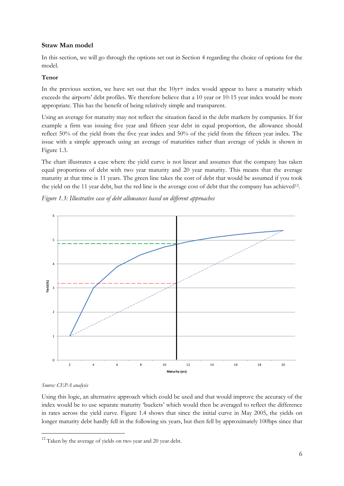#### **Straw Man model**

In this section, we will go through the options set out in Section 4 regarding the choice of options for the model.

#### **Tenor**

In the previous section, we have set out that the 10yr+ index would appear to have a maturity which exceeds the airports' debt profiles. We therefore believe that a 10 year or 10-15 year index would be more appropriate. This has the benefit of being relatively simple and transparent.

Using an average for maturity may not reflect the situation faced in the debt markets by companies. If for example a firm was issuing five year and fifteen year debt in equal proportion, the allowance should reflect 50% of the yield from the five year index and 50% of the yield from the fifteen year index. The issue with a simple approach using an average of maturities rather than average of yields is shown in Figure 1.3.

The chart illustrates a case where the yield curve is not linear and assumes that the company has taken equal proportions of debt with two year maturity and 20 year maturity. This means that the average maturity at that time is 11 years. The green line takes the cost of debt that would be assumed if you took the yield on the 11 year debt, but the red line is the average cost of debt that the company has achieved<sup>12</sup>.

*Figure 1.3: Illustrative case of debt allowances based on different approaches*



#### *Source: CEPA analysis*

-

Using this logic, an alternative approach which could be used and that would improve the accuracy of the index would be to use separate maturity 'buckets' which would then be averaged to reflect the difference in rates across the yield curve. Figure 1.4 shows that since the initial curve in May 2005, the yields on longer maturity debt hardly fell in the following six years, but then fell by approximately 100bps since that

<sup>&</sup>lt;sup>12</sup> Taken by the average of yields on two year and 20 year debt.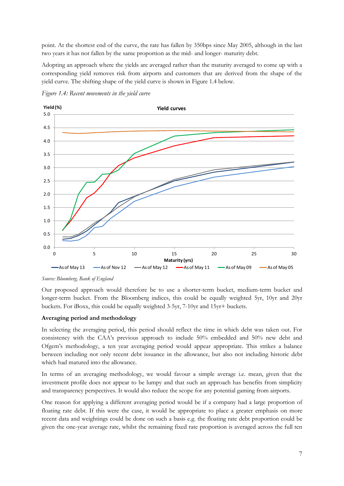point. At the shortest end of the curve, the rate has fallen by 350bps since May 2005, although in the last two years it has not fallen by the same proportion as the mid- and longer- maturity debt.

Adopting an approach where the yields are averaged rather than the maturity averaged to come up with a corresponding yield removes risk from airports and customers that are derived from the shape of the yield curve. The shifting shape of the yield curve is shown in Figure 1.4 below.



*Figure 1.4: Recent movements in the yield curve*

*Source: Bloomberg, Bank of England*

Our proposed approach would therefore be to use a shorter-term bucket, medium-term bucket and longer-term bucket. From the Bloomberg indices, this could be equally weighted 5yr, 10yr and 20yr buckets. For iBoxx, this could be equally weighted 3-5yr, 7-10yr and 15yr+ buckets.

#### **Averaging period and methodology**

In selecting the averaging period, this period should reflect the time in which debt was taken out. For consistency with the CAA's previous approach to include 50% embedded and 50% new debt and Ofgem's methodology, a ten year averaging period would appear appropriate. This strikes a balance between including not only recent debt issuance in the allowance, but also not including historic debt which had matured into the allowance.

In terms of an averaging methodology, we would favour a simple average i.e. mean, given that the investment profile does not appear to be lumpy and that such an approach has benefits from simplicity and transparency perspectives. It would also reduce the scope for any potential gaming from airports.

One reason for applying a different averaging period would be if a company had a large proportion of floating rate debt. If this were the case, it would be appropriate to place a greater emphasis on more recent data and weightings could be done on such a basis e.g. the floating rate debt proportion could be given the one-year average rate, whilst the remaining fixed rate proportion is averaged across the full ten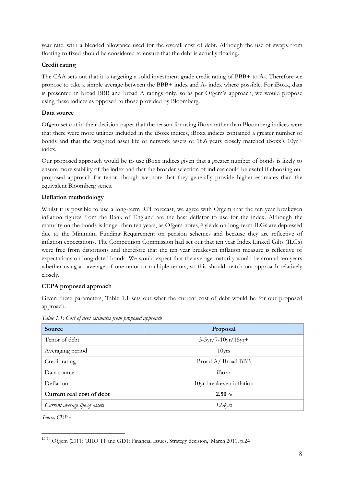year rate, with a blended allowance used for the overall cost of debt. Although the use of swaps from floating to fixed should be considered to ensure that the debt is actually floating.

### **Credit rating**

The CAA sets out that it is targeting a solid investment grade credit rating of BBB+ to A-. Therefore we propose to take a simple average between the BBB+ index and A- index where possible. For iBoxx, data is presented in broad BBB and broad A ratings only, so as per Ofgem's approach, we would propose using these indices as opposed to those provided by Bloomberg.

### **Data source**

Ofgem set out in their decision paper that the reason for using iBoxx rather than Bloomberg indices were that there were more utilities included in the iBoxx indices, iBoxx indices contained a greater number of bonds and that the weighted asset life of network assets of 18.6 years closely matched iBoxx's 10yr+ index.

Our proposed approach would be to use iBoxx indices given that a greater number of bonds is likely to ensure more stability of the index and that the broader selection of indices could be useful if choosing our proposed approach for tenor, though we note that they generally provide higher estimates than the equivalent Bloomberg series.

### **Deflation methodology**

Whilst it is possible to use a long-term RPI forecast, we agree with Ofgem that the ten year breakeven inflation figures from the Bank of England are the best deflator to use for the index. Although the maturity on the bonds is longer than ten years, as Ofgem notes, <sup>13</sup> yields on long-term ILGs are depressed due to the Minimum Funding Requirement on pension schemes and because they are reflective of inflation expectations. The Competition Commission had set out that ten year Index Linked Gilts (ILGs) were free from distortions and therefore that the ten year breakeven inflation measure is reflective of expectations on long-dated bonds. We would expect that the average maturity would be around ten years whether using an average of one tenor or multiple tenors, so this should match our approach relatively closely.

### **CEPA proposed approach**

Given these parameters, Table 1.1 sets out what the current cost of debt would be for our proposed approach.

| Source                                       | Proposal                 |  |  |
|----------------------------------------------|--------------------------|--|--|
| Tenor of debt                                | $3-5yr/7-10yr/15yr+$     |  |  |
| Averaging period                             | $10$ yrs                 |  |  |
| Credit rating                                | Broad A/ Broad BBB       |  |  |
| Data source                                  | iBoxx                    |  |  |
| Deflation                                    | 10yr breakeven inflation |  |  |
| Current real cost of debt                    | $2.50\%$                 |  |  |
| Current average life of assets<br>$12.4$ yrs |                          |  |  |

*Table 1.1: Cost of debt estimates from proposed approach*

*Source: CEPA*

<sup>&</sup>lt;sup>13 13</sup> Ofgem (2011) 'RIIO T1 and GD1: Financial Issues, Strategy decision,' March 2011, p.24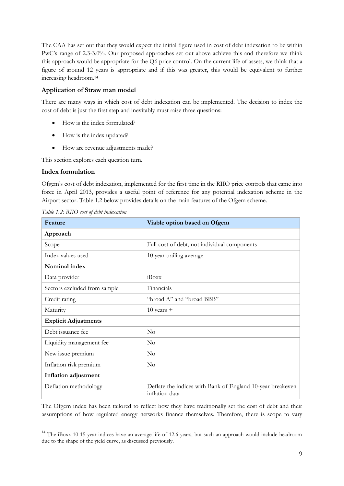The CAA has set out that they would expect the initial figure used in cost of debt indexation to be within PwC's range of 2.3-3.0%. Our proposed approaches set out above achieve this and therefore we think this approach would be appropriate for the Q6 price control. On the current life of assets, we think that a figure of around 12 years is appropriate and if this was greater, this would be equivalent to further increasing headroom.<sup>14</sup>

### **Application of Straw man model**

There are many ways in which cost of debt indexation can be implemented. The decision to index the cost of debt is just the first step and inevitably must raise three questions:

- How is the index formulated?
- How is the index updated?
- How are revenue adjustments made?

This section explores each question turn.

#### **Index formulation**

-

Ofgem's cost of debt indexation, implemented for the first time in the RIIO price controls that came into force in April 2013, provides a useful point of reference for any potential indexation scheme in the Airport sector. Table 1.2 below provides details on the main features of the Ofgem scheme.

| Feature                      | Viable option based on Ofgem                                                 |  |  |  |
|------------------------------|------------------------------------------------------------------------------|--|--|--|
| Approach                     |                                                                              |  |  |  |
| Scope                        | Full cost of debt, not individual components                                 |  |  |  |
| Index values used            | 10 year trailing average                                                     |  |  |  |
| Nominal index                |                                                                              |  |  |  |
| Data provider                | iBoxx                                                                        |  |  |  |
| Sectors excluded from sample | Financials                                                                   |  |  |  |
| Credit rating                | "broad A" and "broad BBB"                                                    |  |  |  |
| Maturity                     | $10$ years $+$                                                               |  |  |  |
| <b>Explicit Adjustments</b>  |                                                                              |  |  |  |
| Debt issuance fee            | $\rm No$                                                                     |  |  |  |
| Liquidity management fee     | $\overline{N}_{O}$                                                           |  |  |  |
| New issue premium            | $\rm No$                                                                     |  |  |  |
| Inflation risk premium       | $\overline{N}_{O}$                                                           |  |  |  |
| Inflation adjustment         |                                                                              |  |  |  |
| Deflation methodology        | Deflate the indices with Bank of England 10-year breakeven<br>inflation data |  |  |  |

*Table 1.2: RIIO cost of debt indexation*

The Ofgem index has been tailored to reflect how they have traditionally set the cost of debt and their assumptions of how regulated energy networks finance themselves. Therefore, there is scope to vary

<sup>&</sup>lt;sup>14</sup> The iBoxx 10-15 year indices have an average life of 12.6 years, but such an approach would include headroom due to the shape of the yield curve, as discussed previously.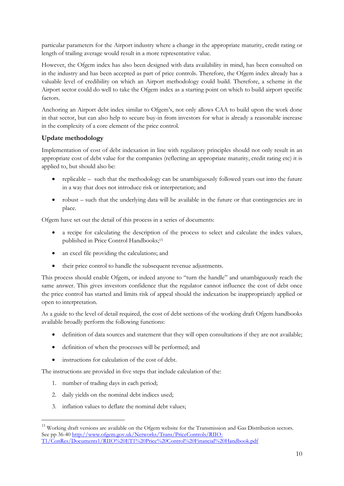particular parameters for the Airport industry where a change in the appropriate maturity, credit rating or length of trailing average would result in a more representative value.

However, the Ofgem index has also been designed with data availability in mind, has been consulted on in the industry and has been accepted as part of price controls. Therefore, the Ofgem index already has a valuable level of credibility on which an Airport methodology could build. Therefore, a scheme in the Airport sector could do well to take the Ofgem index as a starting point on which to build airport specific factors.

Anchoring an Airport debt index similar to Ofgem's, not only allows CAA to build upon the work done in that sector, but can also help to secure buy-in from investors for what is already a reasonable increase in the complexity of a core element of the price control.

### **Update methodology**

Implementation of cost of debt indexation in line with regulatory principles should not only result in an appropriate cost of debt value for the companies (reflecting an appropriate maturity, credit rating etc) it is applied to, but should also be:

- replicable such that the methodology can be unambiguously followed years out into the future in a way that does not introduce risk or interpretation; and
- robust such that the underlying data will be available in the future or that contingencies are in place.

Ofgem have set out the detail of this process in a series of documents:

- a recipe for calculating the description of the process to select and calculate the index values, published in Price Control Handbooks;<sup>15</sup>
- an excel file providing the calculations; and
- their price control to handle the subsequent revenue adjustments.

This process should enable Ofgem, or indeed anyone to "turn the handle" and unambiguously reach the same answer. This gives investors confidence that the regulator cannot influence the cost of debt once the price control has started and limits risk of appeal should the indexation be inappropriately applied or open to interpretation.

As a guide to the level of detail required, the cost of debt sections of the working draft Ofgem handbooks available broadly perform the following functions:

- definition of data sources and statement that they will open consultations if they are not available;
- definition of when the processes will be performed; and
- instructions for calculation of the cost of debt.

The instructions are provided in five steps that include calculation of the:

1. number of trading days in each period;

- 2. daily yields on the nominal debt indices used;
- 3. inflation values to deflate the nominal debt values;

<sup>&</sup>lt;sup>15</sup> Working draft versions are available on the Ofgem website for the Transmission and Gas Distribution sectors. See pp 36-4[0 http://www.ofgem.gov.uk/Networks/Trans/PriceControls/RIIO-](http://www.ofgem.gov.uk/Networks/Trans/PriceControls/RIIO-T1/ConRes/Documents1/RIIO%20ET1%20Price%20Control%20Financial%20Handbook.pdf)[T1/ConRes/Documents1/RIIO%20ET1%20Price%20Control%20Financial%20Handbook.pdf](http://www.ofgem.gov.uk/Networks/Trans/PriceControls/RIIO-T1/ConRes/Documents1/RIIO%20ET1%20Price%20Control%20Financial%20Handbook.pdf)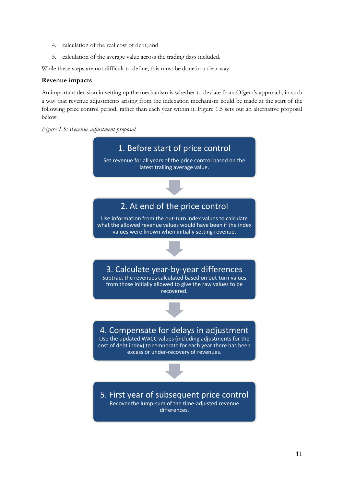- 4. calculation of the real cost of debt; and
- 5. calculation of the average value across the trading days included.

While these steps are not difficult to define, this must be done in a clear way.

#### **Revenue impacts**

An important decision in setting up the mechanism is whether to deviate from Ofgem's approach, in such a way that revenue adjustments arising from the indexation mechanism could be made at the start of the following price control period, rather than each year within it. Figure 1.5 sets out an alternative proposal below.



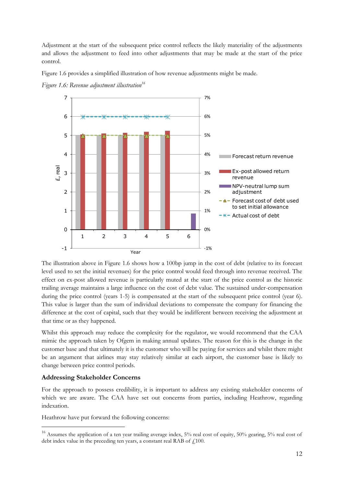Adjustment at the start of the subsequent price control reflects the likely materiality of the adjustments and allows the adjustment to feed into other adjustments that may be made at the start of the price control.

Figure 1.6 provides a simplified illustration of how revenue adjustments might be made.



*Figure 1.6: Revenue adjustment illustration<sup>16</sup>*

The illustration above in Figure 1.6 shows how a 100bp jump in the cost of debt (relative to its forecast level used to set the initial revenues) for the price control would feed through into revenue received. The effect on ex-post allowed revenue is particularly muted at the start of the price control as the historic trailing average maintains a large influence on the cost of debt value. The sustained under-compensation during the price control (years 1-5) is compensated at the start of the subsequent price control (year 6). This value is larger than the sum of individual deviations to compensate the company for financing the difference at the cost of capital, such that they would be indifferent between receiving the adjustment at that time or as they happened.

Whilst this approach may reduce the complexity for the regulator, we would recommend that the CAA mimic the approach taken by Ofgem in making annual updates. The reason for this is the change in the customer base and that ultimately it is the customer who will be paying for services and whilst there might be an argument that airlines may stay relatively similar at each airport, the customer base is likely to change between price control periods.

#### **Addressing Stakeholder Concerns**

-

For the approach to possess credibility, it is important to address any existing stakeholder concerns of which we are aware. The CAA have set out concerns from parties, including Heathrow, regarding indexation.

Heathrow have put forward the following concerns:

<sup>&</sup>lt;sup>16</sup> Assumes the application of a ten year trailing average index, 5% real cost of equity, 50% gearing, 5% real cost of debt index value in the preceding ten years, a constant real RAB of  $\ell$ 100.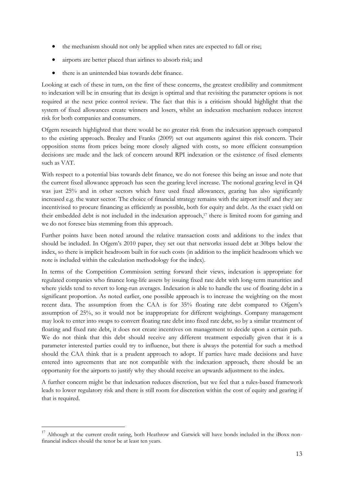- the mechanism should not only be applied when rates are expected to fall or rise;
- airports are better placed than airlines to absorb risk; and
- there is an unintended bias towards debt finance.

Looking at each of these in turn, on the first of these concerns, the greatest credibility and commitment to indexation will be in ensuring that its design is optimal and that revisiting the parameter options is not required at the next price control review. The fact that this is a criticism should highlight that the system of fixed allowances create winners and losers, whilst an indexation mechanism reduces interest risk for both companies and consumers.

Ofgem research highlighted that there would be no greater risk from the indexation approach compared to the existing approach. Brealey and Franks (2009) set out arguments against this risk concern. Their opposition stems from prices being more closely aligned with costs, so more efficient consumption decisions are made and the lack of concern around RPI indexation or the existence of fixed elements such as VAT.

With respect to a potential bias towards debt finance, we do not foresee this being an issue and note that the current fixed allowance approach has seen the gearing level increase. The notional gearing level in Q4 was just 25% and in other sectors which have used fixed allowances, gearing has also significantly increased e.g. the water sector. The choice of financial strategy remains with the airport itself and they are incentivised to procure financing as efficiently as possible, both for equity and debt. As the exact yield on their embedded debt is not included in the indexation approach,<sup>17</sup> there is limited room for gaming and we do not foresee bias stemming from this approach.

Further points have been noted around the relative transaction costs and additions to the index that should be included. In Ofgem's 2010 paper, they set out that networks issued debt at 30bps below the index, so there is implicit headroom built in for such costs (in addition to the implicit headroom which we note is included within the calculation methodology for the index).

In terms of the Competition Commission setting forward their views, indexation is appropriate for regulated companies who finance long-life assets by issuing fixed rate debt with long-term maturities and where yields tend to revert to long-run averages. Indexation is able to handle the use of floating debt in a significant proportion. As noted earlier, one possible approach is to increase the weighting on the most recent data. The assumption from the CAA is for 35% floating rate debt compared to Ofgem's assumption of 25%, so it would not be inappropriate for different weightings. Company management may look to enter into swaps to convert floating rate debt into fixed rate debt, so by a similar treatment of floating and fixed rate debt, it does not create incentives on management to decide upon a certain path. We do not think that this debt should receive any different treatment especially given that it is a parameter interested parties could try to influence, but there is always the potential for such a method should the CAA think that is a prudent approach to adopt. If parties have made decisions and have entered into agreements that are not compatible with the indexation approach, there should be an opportunity for the airports to justify why they should receive an upwards adjustment to the index.

A further concern might be that indexation reduces discretion, but we feel that a rules-based framework leads to lower regulatory risk and there is still room for discretion within the cost of equity and gearing if that is required.

<sup>&</sup>lt;sup>17</sup> Although at the current credit rating, both Heathrow and Gatwick will have bonds included in the iBoxx nonfinancial indices should the tenor be at least ten years.